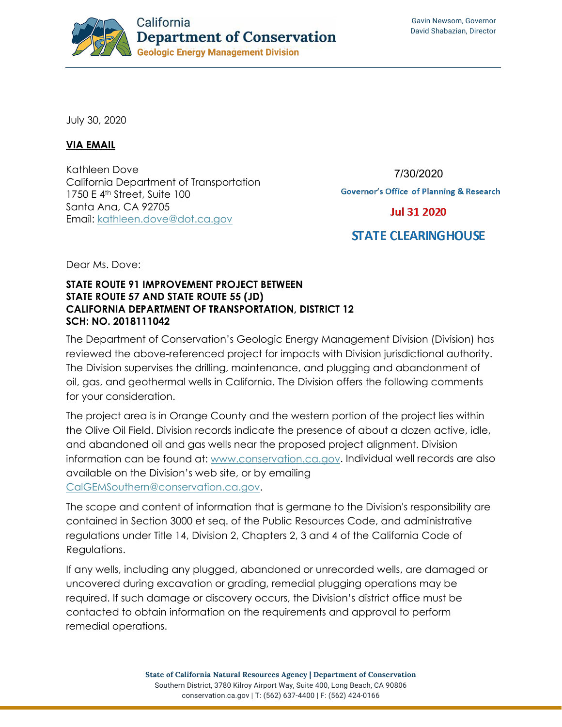

July 30, 2020

## **VIA EMAIL**

Kathleen Dove California Department of Transportation 1750 E 4th Street, Suite 100 Santa Ana, CA 92705 Email: [kathleen.dove@dot.ca.gov](mailto:kathleen.dove@dot.ca.gov)

7/30/2020

**Governor's Office of Planning & Research** 

**Jul 31 2020** 

## **STATE CLEARING HOUSE**

Dear Ms. Dove:

## **STATE ROUTE 91 IMPROVEMENT PROJECT BETWEEN STATE ROUTE 57 AND STATE ROUTE 55 (JD) CALIFORNIA DEPARTMENT OF TRANSPORTATION, DISTRICT 12 SCH: NO. 2018111042**

The Department of Conservation's Geologic Energy Management Division (Division) has reviewed the above-referenced project for impacts with Division jurisdictional authority. The Division supervises the drilling, maintenance, and plugging and abandonment of oil, gas, and geothermal wells in California. The Division offers the following comments for your consideration.

The project area is in Orange County and the western portion of the project lies within the Olive Oil Field. Division records indicate the presence of about a dozen active, idle, and abandoned oil and gas wells near the proposed project alignment. Division information can be found at: [www.conservation.ca.gov.](http://www.conservation.ca.gov/) Individual well records are also available on the Division's web site, or by emailing [CalGEMSouthern@conservation.ca.gov.](mailto:CalGEMSouthern@conservation.ca.gov)

The scope and content of information that is germane to the Division's responsibility are contained in Section 3000 et seq. of the Public Resources Code, and administrative regulations under Title 14, Division 2, Chapters 2, 3 and 4 of the California Code of Regulations.

If any wells, including any plugged, abandoned or unrecorded wells, are damaged or uncovered during excavation or grading, remedial plugging operations may be required. If such damage or discovery occurs, the Division's district office must be contacted to obtain information on the requirements and approval to perform remedial operations.